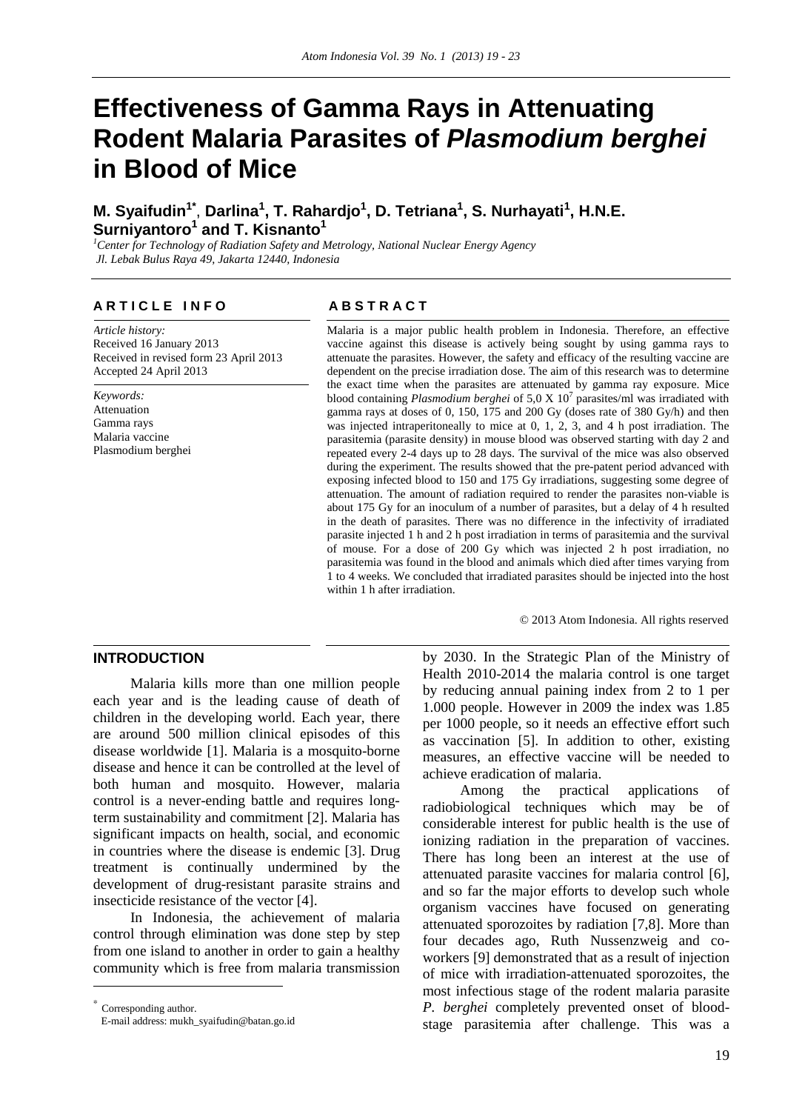# **Effectiveness of Gamma Rays in Attenuating Rodent Malaria Parasites of** *Plasmodium berghei* **in Blood of Mice**

**M. Syaifudin1\***, **Darlina<sup>1</sup> , T. Rahardjo1 , D. Tetriana<sup>1</sup> , S. Nurhayati<sup>1</sup> , H.N.E. Surniyantoro<sup>1</sup> and T. Kisnanto<sup>1</sup>**<br> *Contex for Technology of Pediation Safety and M* 

*Center for Technology of Radiation Safety and Metrology, National Nuclear Energy Agency Jl. Lebak Bulus Raya 49, Jakarta 12440, Indonesia* 

# **ARTICLE INFO** ABSTRACT

*Article history:*  Received 16 January 2013 Received in revised form 23 April 2013 Accepted 24 April 2013

*Keywords:*  Attenuation Gamma rays Malaria vaccine Plasmodium berghei

Malaria is a major public health problem in Indonesia. Therefore, an effective vaccine against this disease is actively being sought by using gamma rays to attenuate the parasites. However, the safety and efficacy of the resulting vaccine are dependent on the precise irradiation dose. The aim of this research was to determine the exact time when the parasites are attenuated by gamma ray exposure. Mice blood containing *Plasmodium berghei* of 5,0 X 10<sup>7</sup> parasites/ml was irradiated with gamma rays at doses of 0, 150, 175 and 200 Gy (doses rate of 380 Gy/h) and then was injected intraperitoneally to mice at 0, 1, 2, 3, and 4 h post irradiation. The parasitemia (parasite density) in mouse blood was observed starting with day 2 and repeated every 2-4 days up to 28 days. The survival of the mice was also observed during the experiment. The results showed that the pre-patent period advanced with exposing infected blood to 150 and 175 Gy irradiations, suggesting some degree of attenuation. The amount of radiation required to render the parasites non-viable is about 175 Gy for an inoculum of a number of parasites, but a delay of 4 h resulted in the death of parasites. There was no difference in the infectivity of irradiated parasite injected 1 h and 2 h post irradiation in terms of parasitemia and the survival of mouse. For a dose of 200 Gy which was injected 2 h post irradiation, no parasitemia was found in the blood and animals which died after times varying from 1 to 4 weeks. We concluded that irradiated parasites should be injected into the host within 1 h after irradiation.

© 2013 Atom Indonesia. All rights reserved

# **INTRODUCTION**<sup>∗</sup>

Malaria kills more than one million people each year and is the leading cause of death of children in the developing world. Each year, there are around 500 million clinical episodes of this disease worldwide [1]. Malaria is a mosquito-borne disease and hence it can be controlled at the level of both human and mosquito. However, malaria control is a never-ending battle and requires longterm sustainability and commitment [2]. Malaria has significant impacts on health, social, and economic in countries where the disease is endemic [3]. Drug treatment is continually undermined by the development of drug-resistant parasite strains and insecticide resistance of the vector [4].

In Indonesia, the achievement of malaria control through elimination was done step by step from one island to another in order to gain a healthy community which is free from malaria transmission

<sup>∗</sup> Corresponding author.

 $\overline{a}$ 

E-mail address: mukh\_syaifudin@batan.go.id

by 2030. In the Strategic Plan of the Ministry of Health 2010-2014 the malaria control is one target by reducing annual paining index from 2 to 1 per 1.000 people. However in 2009 the index was 1.85 per 1000 people, so it needs an effective effort such as vaccination [5]. In addition to other, existing measures, an effective vaccine will be needed to achieve eradication of malaria.

Among the practical applications of radiobiological techniques which may be of considerable interest for public health is the use of ionizing radiation in the preparation of vaccines. There has long been an interest at the use of attenuated parasite vaccines for malaria control [6], and so far the major efforts to develop such whole organism vaccines have focused on generating attenuated sporozoites by radiation [7,8]. More than four decades ago, Ruth Nussenzweig and coworkers [9] demonstrated that as a result of injection of mice with irradiation-attenuated sporozoites, the most infectious stage of the rodent malaria parasite *P. berghei* completely prevented onset of bloodstage parasitemia after challenge. This was a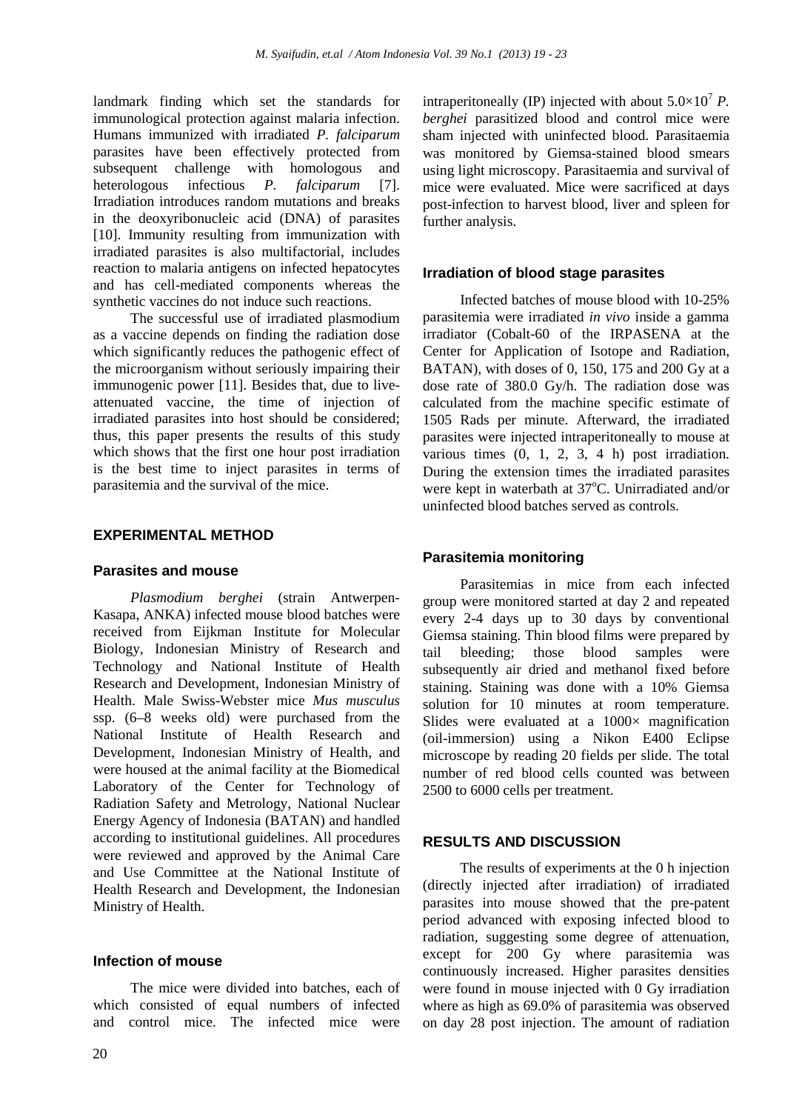landmark finding which set the standards for immunological protection against malaria infection. Humans immunized with irradiated *P. falciparum*  parasites have been effectively protected from subsequent challenge with homologous and heterologous infectious *P. falciparum* [7]. Irradiation introduces random mutations and breaks in the deoxyribonucleic acid (DNA) of parasites [10]. Immunity resulting from immunization with irradiated parasites is also multifactorial, includes reaction to malaria antigens on infected hepatocytes and has cell-mediated components whereas the synthetic vaccines do not induce such reactions.

The successful use of irradiated plasmodium as a vaccine depends on finding the radiation dose which significantly reduces the pathogenic effect of the microorganism without seriously impairing their immunogenic power [11]. Besides that, due to liveattenuated vaccine, the time of injection of irradiated parasites into host should be considered; thus, this paper presents the results of this study which shows that the first one hour post irradiation is the best time to inject parasites in terms of parasitemia and the survival of the mice.

# **EXPERIMENTAL METHOD**

# **Parasites and mouse**

*Plasmodium berghei* (strain Antwerpen-Kasapa, ANKA) infected mouse blood batches were received from Eijkman Institute for Molecular Biology, Indonesian Ministry of Research and Technology and National Institute of Health Research and Development, Indonesian Ministry of Health. Male Swiss-Webster mice *Mus musculus* ssp. (6–8 weeks old) were purchased from the National Institute of Health Research and Development, Indonesian Ministry of Health, and were housed at the animal facility at the Biomedical Laboratory of the Center for Technology of Radiation Safety and Metrology, National Nuclear Energy Agency of Indonesia (BATAN) and handled according to institutional guidelines. All procedures were reviewed and approved by the Animal Care and Use Committee at the National Institute of Health Research and Development, the Indonesian Ministry of Health.

# **Infection of mouse**

The mice were divided into batches, each of which consisted of equal numbers of infected and control mice. The infected mice were intraperitoneally (IP) injected with about  $5.0 \times 10^7$  *P*. *berghei* parasitized blood and control mice were sham injected with uninfected blood. Parasitaemia was monitored by Giemsa-stained blood smears using light microscopy. Parasitaemia and survival of mice were evaluated. Mice were sacrificed at days post-infection to harvest blood, liver and spleen for further analysis.

### **Irradiation of blood stage parasites**

Infected batches of mouse blood with 10-25% parasitemia were irradiated *in vivo* inside a gamma irradiator (Cobalt-60 of the IRPASENA at the Center for Application of Isotope and Radiation, BATAN), with doses of 0, 150, 175 and 200 Gy at a dose rate of 380.0 Gy/h. The radiation dose was calculated from the machine specific estimate of 1505 Rads per minute. Afterward, the irradiated parasites were injected intraperitoneally to mouse at various times (0, 1, 2, 3, 4 h) post irradiation. During the extension times the irradiated parasites were kept in waterbath at 37°C. Unirradiated and/or uninfected blood batches served as controls.

## **Parasitemia monitoring**

Parasitemias in mice from each infected group were monitored started at day 2 and repeated every 2-4 days up to 30 days by conventional Giemsa staining. Thin blood films were prepared by tail bleeding; those blood samples were subsequently air dried and methanol fixed before staining. Staining was done with a 10% Giemsa solution for 10 minutes at room temperature. Slides were evaluated at a  $1000\times$  magnification (oil-immersion) using a Nikon E400 Eclipse microscope by reading 20 fields per slide. The total number of red blood cells counted was between 2500 to 6000 cells per treatment.

# **RESULTS AND DISCUSSION**

The results of experiments at the 0 h injection (directly injected after irradiation) of irradiated parasites into mouse showed that the pre-patent period advanced with exposing infected blood to radiation, suggesting some degree of attenuation, except for 200 Gy where parasitemia was continuously increased. Higher parasites densities were found in mouse injected with 0 Gy irradiation where as high as 69.0% of parasitemia was observed on day 28 post injection. The amount of radiation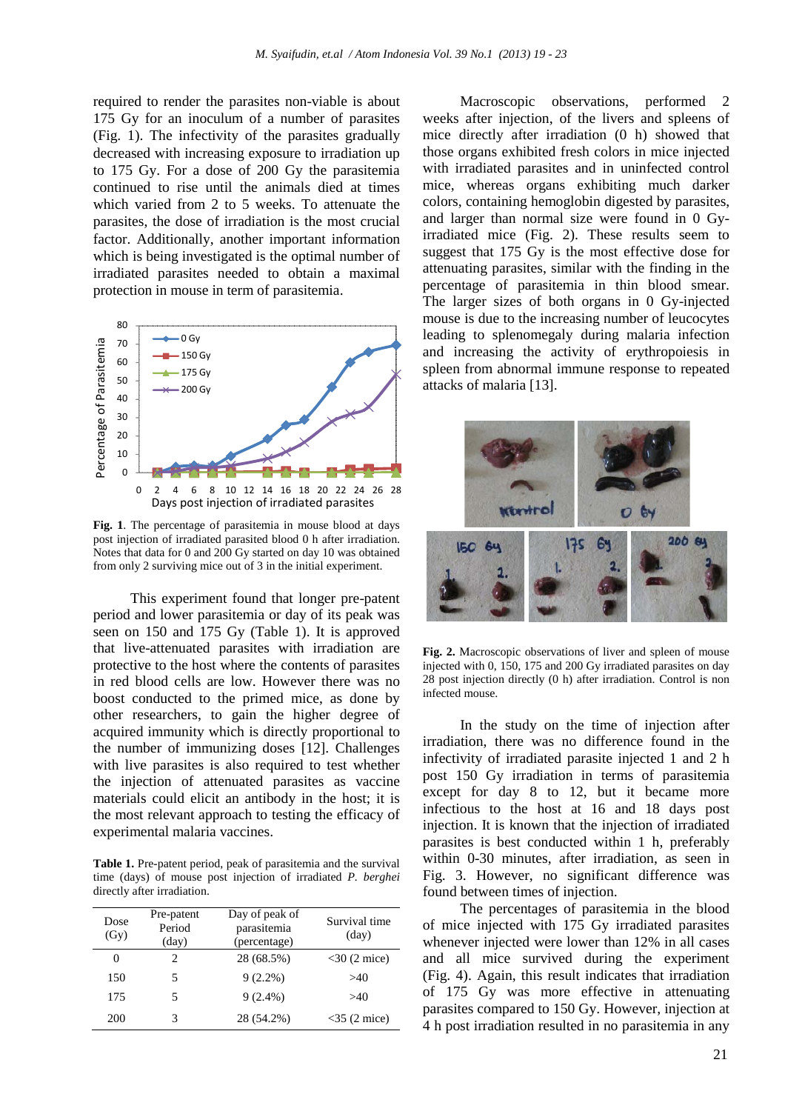required to render the parasites non-viable is about 175 Gy for an inoculum of a number of parasites (Fig. 1). The infectivity of the parasites gradually decreased with increasing exposure to irradiation up to 175 Gy. For a dose of 200 Gy the parasitemia continued to rise until the animals died at times which varied from 2 to 5 weeks. To attenuate the parasites, the dose of irradiation is the most crucial factor. Additionally, another important information which is being investigated is the optimal number of irradiated parasites needed to obtain a maximal protection in mouse in term of parasitemia.



**Fig. 1**. The percentage of parasitemia in mouse blood at days post injection of irradiated parasited blood 0 h after irradiation. Notes that data for 0 and 200 Gy started on day 10 was obtained from only 2 surviving mice out of 3 in the initial experiment.

This experiment found that longer pre-patent period and lower parasitemia or day of its peak was seen on 150 and 175 Gy (Table 1). It is approved that live-attenuated parasites with irradiation are protective to the host where the contents of parasites in red blood cells are low. However there was no boost conducted to the primed mice, as done by other researchers, to gain the higher degree of acquired immunity which is directly proportional to the number of immunizing doses [12]. Challenges with live parasites is also required to test whether the injection of attenuated parasites as vaccine materials could elicit an antibody in the host; it is the most relevant approach to testing the efficacy of experimental malaria vaccines.

**Table 1.** Pre-patent period, peak of parasitemia and the survival time (days) of mouse post injection of irradiated *P. berghei* directly after irradiation.

| Dose<br>(Gy) | Pre-patent<br>Period<br>$\text{(day)}$ | Day of peak of<br>parasitemia<br>(percentage) | Survival time<br>$\text{(day)}$ |
|--------------|----------------------------------------|-----------------------------------------------|---------------------------------|
| 0            | $\mathfrak{D}_{\mathfrak{p}}$          | 28 (68.5%)                                    | $<$ 30 (2 mice)                 |
| 150          | 5                                      | $9(2.2\%)$                                    | >40                             |
| 175          | 5                                      | $9(2.4\%)$                                    | >40                             |
| 200          | 3                                      | 28 (54.2%)                                    | $<$ 35 (2 mice)                 |

Macroscopic observations, performed 2 weeks after injection, of the livers and spleens of mice directly after irradiation (0 h) showed that those organs exhibited fresh colors in mice injected with irradiated parasites and in uninfected control mice, whereas organs exhibiting much darker colors, containing hemoglobin digested by parasites, and larger than normal size were found in 0 Gyirradiated mice (Fig. 2). These results seem to suggest that 175 Gy is the most effective dose for attenuating parasites, similar with the finding in the percentage of parasitemia in thin blood smear. The larger sizes of both organs in 0 Gy-injected mouse is due to the increasing number of leucocytes leading to splenomegaly during malaria infection and increasing the activity of erythropoiesis in spleen from abnormal immune response to repeated attacks of malaria [13].



**Fig. 2.** Macroscopic observations of liver and spleen of mouse injected with 0, 150, 175 and 200 Gy irradiated parasites on day 28 post injection directly (0 h) after irradiation. Control is non infected mouse.

In the study on the time of injection after irradiation, there was no difference found in the infectivity of irradiated parasite injected 1 and 2 h post 150 Gy irradiation in terms of parasitemia except for day 8 to 12, but it became more infectious to the host at 16 and 18 days post injection. It is known that the injection of irradiated parasites is best conducted within 1 h, preferably within 0-30 minutes, after irradiation, as seen in Fig. 3. However, no significant difference was found between times of injection.

The percentages of parasitemia in the blood of mice injected with 175 Gy irradiated parasites whenever injected were lower than 12% in all cases and all mice survived during the experiment (Fig. 4). Again, this result indicates that irradiation of 175 Gy was more effective in attenuating parasites compared to 150 Gy. However, injection at 4 h post irradiation resulted in no parasitemia in any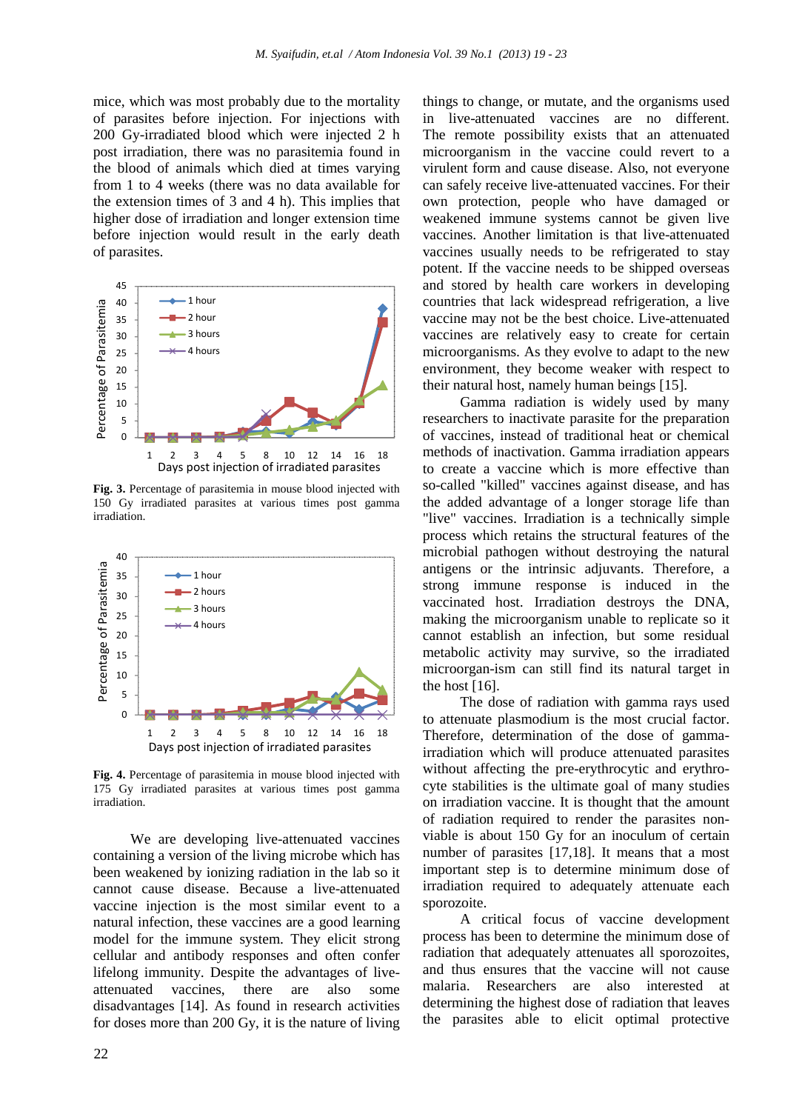mice, which was most probably due to the mortality of parasites before injection. For injections with 200 Gy-irradiated blood which were injected 2 h post irradiation, there was no parasitemia found in the blood of animals which died at times varying from 1 to 4 weeks (there was no data available for the extension times of 3 and 4 h). This implies that higher dose of irradiation and longer extension time before injection would result in the early death of parasites.



**Fig. 3.** Percentage of parasitemia in mouse blood injected with 150 Gy irradiated parasites at various times post gamma irradiation.



**Fig. 4.** Percentage of parasitemia in mouse blood injected with 175 Gy irradiated parasites at various times post gamma irradiation.

We are developing live-attenuated vaccines containing a version of the living microbe which has been weakened by ionizing radiation in the lab so it cannot cause disease. Because a live-attenuated vaccine injection is the most similar event to a natural infection, these vaccines are a good learning model for the immune system. They elicit strong cellular and antibody responses and often confer lifelong immunity. Despite the advantages of liveattenuated vaccines, there are also some disadvantages [14]. As found in research activities for doses more than 200 Gy, it is the nature of living things to change, or mutate, and the organisms used in live-attenuated vaccines are no different. The remote possibility exists that an attenuated microorganism in the vaccine could revert to a virulent form and cause disease. Also, not everyone can safely receive live-attenuated vaccines. For their own protection, people who have damaged or weakened immune systems cannot be given live vaccines. Another limitation is that live-attenuated vaccines usually needs to be refrigerated to stay potent. If the vaccine needs to be shipped overseas and stored by health care workers in developing countries that lack widespread refrigeration, a live vaccine may not be the best choice. Live-attenuated vaccines are relatively easy to create for certain microorganisms. As they evolve to adapt to the new environment, they become weaker with respect to their natural host, namely human beings [15].

Gamma radiation is widely used by many researchers to inactivate parasite for the preparation of vaccines, instead of traditional heat or chemical methods of inactivation. Gamma irradiation appears to create a vaccine which is more effective than so-called "killed" vaccines against disease, and has the added advantage of a longer storage life than "live" vaccines. Irradiation is a technically simple process which retains the structural features of the microbial pathogen without destroying the natural antigens or the intrinsic adjuvants. Therefore, a strong immune response is induced in the vaccinated host. Irradiation destroys the DNA, making the microorganism unable to replicate so it cannot establish an infection, but some residual metabolic activity may survive, so the irradiated microorgan-ism can still find its natural target in the host [16].

The dose of radiation with gamma rays used to attenuate plasmodium is the most crucial factor. Therefore, determination of the dose of gammairradiation which will produce attenuated parasites without affecting the pre-erythrocytic and erythrocyte stabilities is the ultimate goal of many studies on irradiation vaccine. It is thought that the amount of radiation required to render the parasites nonviable is about 150 Gy for an inoculum of certain number of parasites [17,18]. It means that a most important step is to determine minimum dose of irradiation required to adequately attenuate each sporozoite.

A critical focus of vaccine development process has been to determine the minimum dose of radiation that adequately attenuates all sporozoites, and thus ensures that the vaccine will not cause malaria. Researchers are also interested at determining the highest dose of radiation that leaves the parasites able to elicit optimal protective